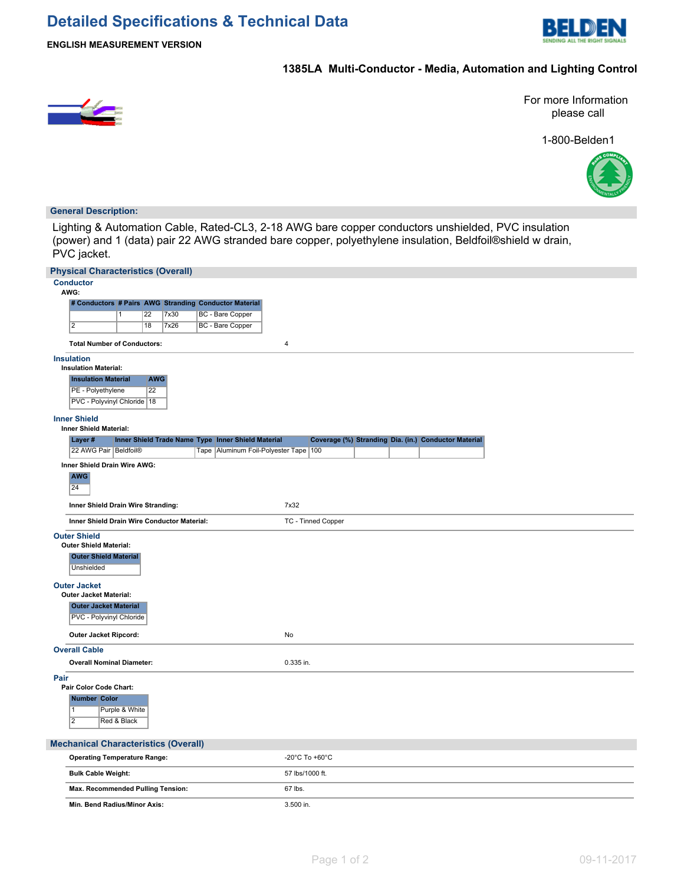

**ENGLISH MEASUREMENT VERSION**

# **1385LA Multi-Conductor - Media, Automation and Lighting Control**



For more Information please call

1-800-Belden1



## **General Description:**

Lighting & Automation Cable, Rated-CL3, 2-18 AWG bare copper conductors unshielded, PVC insulation (power) and 1 (data) pair 22 AWG stranded bare copper, polyethylene insulation, Beldfoil®shield w drain, PVC jacket.

| <b>Physical Characteristics (Overall)</b>                                                          |                                                      |
|----------------------------------------------------------------------------------------------------|------------------------------------------------------|
| <b>Conductor</b><br>AWG:                                                                           |                                                      |
| # Conductors # Pairs AWG Stranding Conductor Material                                              |                                                      |
| <b>BC</b> - Bare Copper<br>22<br>7x30<br>1                                                         |                                                      |
| $\overline{2}$<br><b>BC</b> - Bare Copper<br>18<br>7x26                                            |                                                      |
| <b>Total Number of Conductors:</b>                                                                 | $\overline{4}$                                       |
| <b>Insulation</b><br><b>Insulation Material:</b>                                                   |                                                      |
| <b>Insulation Material</b><br><b>AWG</b>                                                           |                                                      |
| $\overline{22}$<br>PE - Polyethylene                                                               |                                                      |
| PVC - Polyvinyl Chloride   18                                                                      |                                                      |
| <b>Inner Shield</b><br>Inner Shield Material:                                                      |                                                      |
| Layer#<br>Inner Shield Trade Name Type Inner Shield Material                                       | Coverage (%) Stranding Dia. (in.) Conductor Material |
| 22 AWG Pair Beldfoil®<br>Tape Aluminum Foil-Polyester Tape 100                                     |                                                      |
| Inner Shield Drain Wire AWG:<br><b>AWG</b><br>24                                                   |                                                      |
| Inner Shield Drain Wire Stranding:                                                                 | 7x32                                                 |
| Inner Shield Drain Wire Conductor Material:                                                        | TC - Tinned Copper                                   |
| <b>Outer Shield</b><br><b>Outer Shield Material:</b><br><b>Outer Shield Material</b><br>Unshielded |                                                      |
| <b>Outer Jacket</b><br>Outer Jacket Material:                                                      |                                                      |
| <b>Outer Jacket Material</b><br>PVC - Polyvinyl Chloride                                           |                                                      |
| Outer Jacket Ripcord:                                                                              | <b>No</b>                                            |
| <b>Overall Cable</b>                                                                               |                                                      |
| <b>Overall Nominal Diameter:</b>                                                                   | 0.335 in.                                            |
| Pair<br>Pair Color Code Chart:                                                                     |                                                      |
| <b>Number Color</b>                                                                                |                                                      |
| Purple & White<br>$\vert$ 1                                                                        |                                                      |
| $\overline{2}$<br>Red & Black                                                                      |                                                      |
| <b>Mechanical Characteristics (Overall)</b>                                                        |                                                      |
| <b>Operating Temperature Range:</b>                                                                | -20°C To +60°C                                       |
| <b>Bulk Cable Weight:</b>                                                                          | 57 lbs/1000 ft.                                      |
| Max. Recommended Pulling Tension:                                                                  | 67 lbs.                                              |
| Min. Bend Radius/Minor Axis:                                                                       | 3.500 in.                                            |